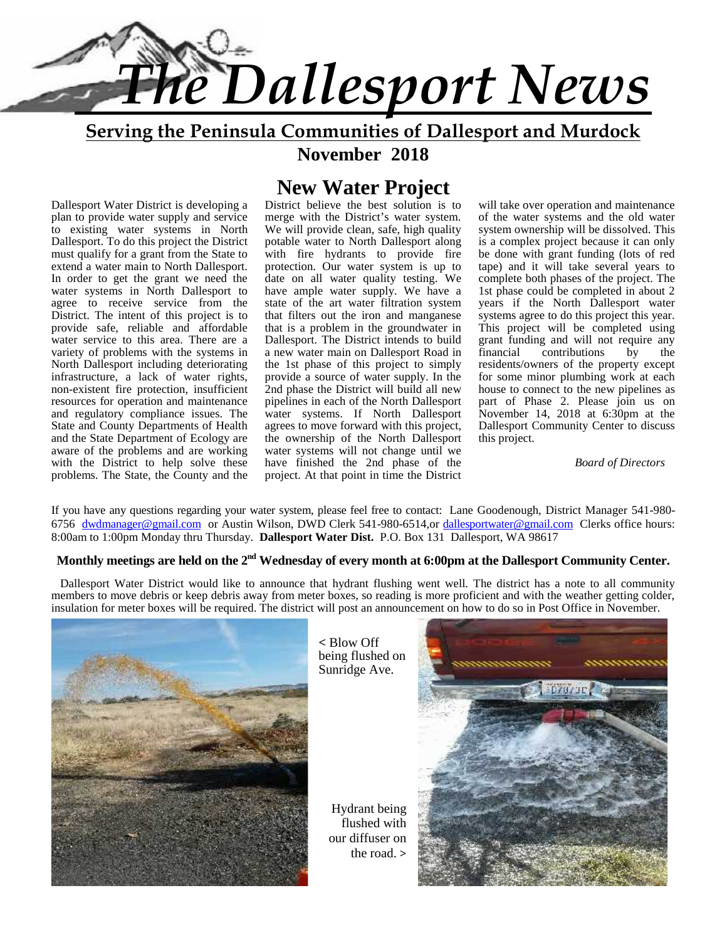

**Serving the Peninsula Communities of Dallesport and Murdock**

**November 2018**

#### Dallesport Water District is developing a plan to provide water supply and service to existing water systems in North Dallesport. To do this project the District must qualify for a grant from the State to extend a water main to North Dallesport. In order to get the grant we need the water systems in North Dallesport to agree to receive service from the District. The intent of this project is to provide safe, reliable and affordable water service to this area. There are a variety of problems with the systems in North Dallesport including deteriorating infrastructure, a lack of water rights, non-existent fire protection, insufficient resources for operation and maintenance and regulatory compliance issues. The State and County Departments of Health and the State Department of Ecology are aware of the problems and are working with the District to help solve these problems. The State, the County and the

## **New Water Project**

District believe the best solution is to merge with the District's water system. We will provide clean, safe, high quality potable water to North Dallesport along with fire hydrants to provide fire protection. Our water system is up to date on all water quality testing. We have ample water supply. We have a state of the art water filtration system that filters out the iron and manganese that is a problem in the groundwater in Dallesport. The District intends to build grant fur<br>a new water main on Dallesport Road in financial a new water main on Dallesport Road in the 1st phase of this project to simply provide a source of water supply. In the 2nd phase the District will build all new pipelines in each of the North Dallesport water systems. If North Dallesport agrees to move forward with this project, the ownership of the North Dallesport water systems will not change until we have finished the 2nd phase of the project. At that point in time the District

will take over operation and maintenance of the water systems and the old water system ownership will be dissolved. This is a complex project because it can only be done with grant funding (lots of red tape) and it will take several years to complete both phases of the project. The 1st phase could be completed in about 2 years if the North Dallesport water systems agree to do this project this year. This project will be completed using grant funding and will not require any<br>financial contributions by the contributions by the residents/owners of the property except for some minor plumbing work at each house to connect to the new pipelines as part of Phase 2. Please join us on November 14, 2018 at 6:30pm at the Dallesport Community Center to discuss this project.

*Board of Directors*

If you have any questions regarding your water system, please feel free to contact: Lane Goodenough, District Manager 541-980- 6756 dwdmanager@gmail.com or Austin Wilson, DWD Clerk 541-980-6514,or dallesportwater@gmail.com Clerks office hours: 8:00am to 1:00pm Monday thru Thursday. **Dallesport Water Dist.** P.O. Box 131 Dallesport, WA 98617

#### **Monthly meetings are held on the 2nd Wednesday of every month at 6:00pm at the Dallesport Community Center.**

 Dallesport Water District would like to announce that hydrant flushing went well. The district has a note to all community members to move debris or keep debris away from meter boxes, so reading is more proficient and with the weather getting colder, insulation for meter boxes will be required. The district will post an announcement on how to do so in Post Office in November.



**<** Blow Off being flushed on Sunridge Ave.

Hydrant being flushed with our diffuser on the road. **>**

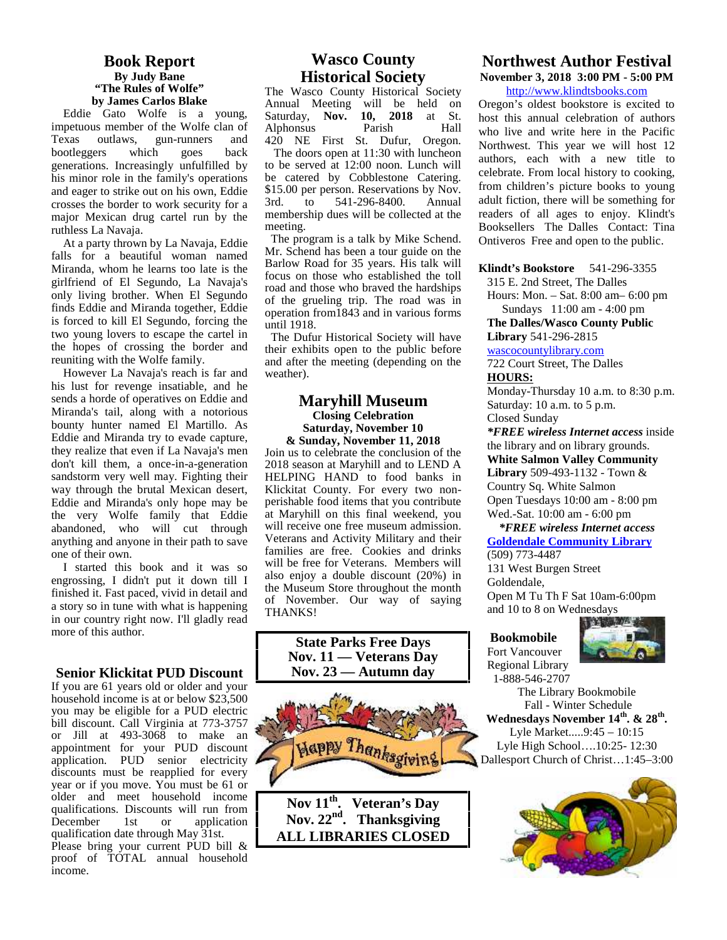#### **Book Report By Judy Bane "The Rules of Wolfe" by James Carlos Blake**

Eddie Gato Wolfe is a young, impetuous member of the Wolfe clan of Texas outlaws, gun-runners and bootleggers which goes back generations. Increasingly unfulfilled by his minor role in the family's operations and eager to strike out on his own, Eddie  $$15$ . crosses the border to work security for a major Mexican drug cartel run by the ruthless La Navaja.

At a party thrown by La Navaja, Eddie falls for a beautiful woman named Miranda, whom he learns too late is the girlfriend of El Segundo, La Navaja's only living brother. When El Segundo finds Eddie and Miranda together, Eddie is forced to kill El Segundo, forcing the two young lovers to escape the cartel in the hopes of crossing the border and reuniting with the Wolfe family.

However La Navaja's reach is far and his lust for revenge insatiable, and he sends a horde of operatives on Eddie and Miranda's tail, along with a notorious bounty hunter named El Martillo. As Eddie and Miranda try to evade capture, they realize that even if La Navaja's men don't kill them, a once-in-a-generation sandstorm very well may. Fighting their way through the brutal Mexican desert, Eddie and Miranda's only hope may be the very Wolfe family that Eddie abandoned, who will cut through anything and anyone in their path to save one of their own.

I started this book and it was so engrossing, I didn't put it down till I finished it. Fast paced, vivid in detail and a story so in tune with what is happening in our country right now. I'll gladly read more of this author.

#### **Senior Klickitat PUD Discount**

If you are 61 years old or older and your household income is at or below \$23,500 you may be eligible for a PUD electric bill discount. Call Virginia at 773-3757 or Jill at 493-3068 to make an appointment for your PUD discount application. PUD senior electricity discounts must be reapplied for every year or if you move. You must be 61 or older and meet household income  $\overline{\text{Now 11}}$   $\text{m}}$ qualifications. Discounts will run from<br>December 1st or application application qualification date through May 31st. Please bring your current PUD bill & proof of TOTAL annual household income.

#### **Wasco County Historical Society**

The Wasco County Historical Society Annual Meeting will be held on Saturday, **Nov. 10, 2018** at St. Alphonsus Parish Hall 420 NE First St. Dufur, Oregon. The doors open at 11:30 with luncheon to be served at 12:00 noon. Lunch will be catered by Cobblestone Catering. \$15.00 per person. Reservations by Nov.<br>3rd. to 541-296-8400. Annual 541-296-8400. membership dues will be collected at the meeting.

The program is a talk by Mike Schend. Mr. Schend has been a tour guide on the Barlow Road for 35 years. His talk will focus on those who established the toll road and those who braved the hardships of the grueling trip. The road was in operation from1843 and in various forms until 1918.

The Dufur Historical Society will have their exhibits open to the public before and after the meeting (depending on the weather).

#### **Maryhill Museum Closing Celebration Saturday, November 10 & Sunday, November 11, 2018**

Join us to celebrate the conclusion of the 2018 season at Maryhill and to LEND A HELPING HAND to food banks in Klickitat County. For every two non perishable food items that you contribute at Maryhill on this final weekend, you will receive one free museum admission. Veterans and Activity Military and their families are free. Cookies and drinks will be free for Veterans. Members will also enjoy a double discount (20%) in the Museum Store throughout the month of November. Our way of saying THANKS!



**Nov 11th. Veteran's Day Nov. 22nd. Thanksgiving ALL LIBRARIES CLOSED**

#### **Northwest Author Festival November 3, 2018 3:00 PM - 5:00 PM**

http://www.klindtsbooks.com

Oregon's oldest bookstore is excited to host this annual celebration of authors who live and write here in the Pacific Northwest. This year we will host 12 authors, each with a new title to celebrate. From local history to cooking, from children's picture books to young adult fiction, there will be something for readers of all ages to enjoy. Klindt's Booksellers The Dalles Contact: Tina Ontiveros Free and open to the public.

**Klindt's Bookstore** 541-296-3355

315 E. 2nd Street, The Dalles

Hours: Mon. – Sat. 8:00 am– 6:00 pm Sundays 11:00 am - 4:00 pm

**The Dalles/Wasco County Public Library** 541-296-2815

wascocountylibrary.com

722 Court Street, The Dalles **HOURS:**

Monday-Thursday 10 a.m. to 8:30 p.m. Saturday: 10 a.m. to 5 p.m. Closed Sunday

*\*FREE wireless Internet access* inside the library and on library grounds. **White Salmon Valley Community Library** 509-493-1132 - Town & Country Sq. White Salmon Open Tuesdays 10:00 am - 8:00 pm Wed.-Sat. 10:00 am - 6:00 pm

#### *\*FREE wireless Internet access* **Goldendale Community Library**

(509) 773-4487 131 West Burgen Street Goldendale, Open M Tu Th F Sat 10am-6:00pm and 10 to 8 on Wednesdays

#### **Bookmobile**

Fort Vancouver Regional Library 1-888-546-2707



The Library Bookmobile Fall - Winter Schedule **Wednesdays November 14th. & 28th .** Lyle Market.....9:45 – 10:15 Lyle High School….10:25- 12:30 Dallesport Church of Christ…1:45–3:00

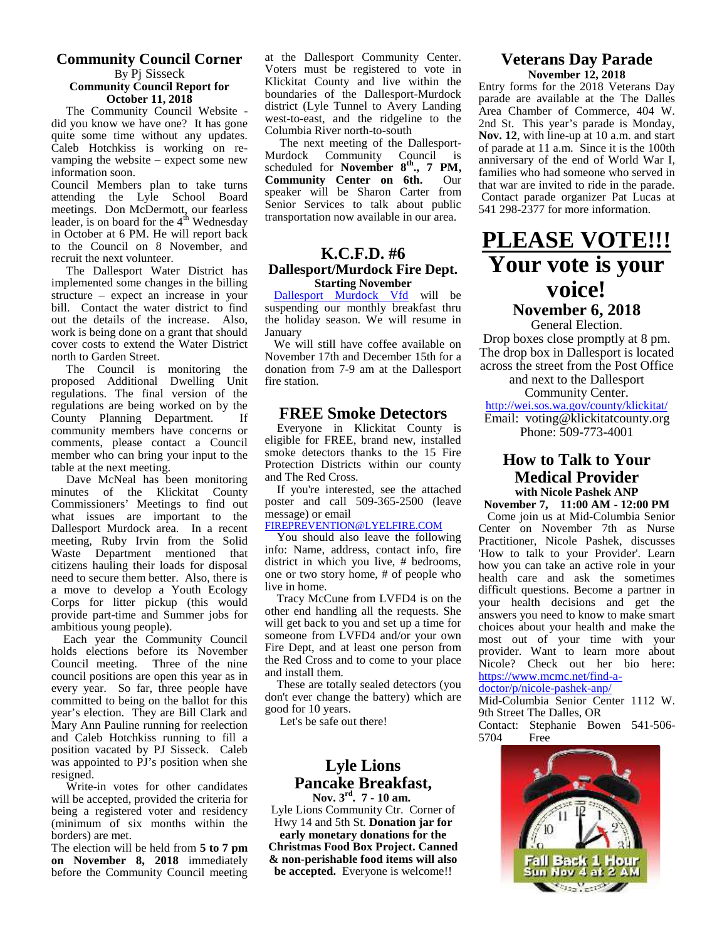#### **Community Council Corner** By Pj Sisseck **Community Council Report for**

**October 11, 2018**

The Community Council Website did you know we have one? It has gone quite some time without any updates. Caleb Hotchkiss is working on re vamping the website – expect some new information soon.

Council Members plan to take turns attending the Lyle School Board meetings. Don McDermott, our fearless sen leader, is on board for the  $4<sup>th</sup>$  Wednesday  $1<sup>th</sup>$  stransf in October at 6 PM. He will report back to the Council on 8 November, and recruit the next volunteer.

The Dallesport Water District has implemented some changes in the billing structure – expect an increase in your bill. Contact the water district to find out the details of the increase. Also, work is being done on a grant that should cover costs to extend the Water District north to Garden Street.

The Council is monitoring the dona proposed Additional Dwelling Unit regulations. The final version of the regulations are being worked on by the<br>County Planning Department If County Planning Department. community members have concerns or comments, please contact a Council member who can bring your input to the table at the next meeting.

Dave McNeal has been monitoring minutes of the Klickitat County Commissioners' Meetings to find out what issues are important to the Dallesport Murdock area. In a recent meeting, Ruby Irvin from the Solid Waste Department mentioned that citizens hauling their loads for disposal need to secure them better. Also, there is a move to develop a Youth Ecology Corps for litter pickup (this would provide part-time and Summer jobs for ambitious young people).

Each year the Community Council holds elections before its November Council meeting. Three of the nine council positions are open this year as in every year. So far, three people have committed to being on the ballot for this year's election. They are Bill Clark and Mary Ann Pauline running for reelection and Caleb Hotchkiss running to fill a position vacated by PJ Sisseck. Caleb was appointed to PJ's position when she resigned.

Write-in votes for other candidates will be accepted, provided the criteria for being a registered voter and residency (minimum of six months within the borders) are met.

The election will be held from **5 to 7 pm on November 8, 2018** immediately before the Community Council meeting at the Dallesport Community Center. Voters must be registered to vote in Klickitat County and live within the boundaries of the Dallesport-Murdock district (Lyle Tunnel to Avery Landing west-to-east, and the ridgeline to the Columbia River north-to-south

The next meeting of the Dallesport- Murdock Community Council is scheduled for **November 8<sup>th</sup>., 7 PM, Community Center on 6th.** Our speaker will be Sharon Carter from Senior Services to talk about public transportation now available in our area.

#### **K.C.F.D. #6 Dallesport/Murdock Fire Dept. Starting November**

Dallesport Murdock Vfd will be suspending our monthly breakfast thru the holiday season. We will resume in January

We will still have coffee available on November 17th and December 15th for a donation from 7-9 am at the Dallesport fire station.

#### **FREE Smoke Detectors**

Everyone in Klickitat County is eligible for FREE, brand new, installed smoke detectors thanks to the 15 Fire Protection Districts within our county and The Red Cross.

If you're interested, see the attached poster and call 509-365-2500 (leave message) or email

#### FIREPREVENTION@LYELFIRE.COM

You should also leave the following info: Name, address, contact info, fire district in which you live, # bedrooms, one or two story home, # of people who live in home.

Tracy McCune from LVFD4 is on the other end handling all the requests. She will get back to you and set up a time for someone from LVFD4 and/or your own Fire Dept, and at least one person from the Red Cross and to come to your place and install them.

 These are totally sealed detectors (you don't ever change the battery) which are good for 10 years.

Let's be safe out there!

#### **Lyle Lions Pancake Breakfast, Nov. 3rd . 7 - 10 am.**

Lyle Lions Community Ctr. Corner of Hwy 14 and 5th St. **Donation jar for early monetary donations for the**

**Christmas Food Box Project. Canned & non-perishable food items will also be accepted.** Everyone is welcome!!

#### **Veterans Day Parade November 12, 2018**

Entry forms for the 2018 Veterans Day parade are available at the The Dalles Area Chamber of Commerce, 404 W. 2nd St. This year's parade is Monday, **Nov. 12**, with line-up at 10 a.m. and start of parade at 11 a.m. Since it is the 100th anniversary of the end of World War I, families who had someone who served in that war are invited to ride in the parade. Contact parade organizer Pat Lucas at 541 298-2377 for more information.

## **PLEASE VOTE!!! Your vote is your voice! November 6, 2018**

General Election.

Drop boxes close promptly at 8 pm. The drop box in Dallesport is located across the street from the Post Office and next to the Dallesport

Community Center. http://wei.sos.wa.gov/county/klickitat/ Email: voting@klickitatcounty.org Phone: 509-773-4001

#### **How to Talk to Your Medical Provider with Nicole Pashek ANP**

**November 7, 11:00 AM - 12:00 PM** Come join us at Mid-Columbia Senior Center on November 7th as Nurse Practitioner, Nicole Pashek, discusses 'How to talk to your Provider'. Learn how you can take an active role in your health care and ask the sometimes difficult questions. Become a partner in your health decisions and get the answers you need to know to make smart choices about your health and make the most out of your time with your provider. Want to learn more about Nicole? Check out her bio here: https://www.mcmc.net/find-a-

doctor/p/nicole-pashek-anp/

Mid-Columbia Senior Center 1112 W. 9th Street The Dalles, OR

Contact: Stephanie Bowen 541-506- 5704

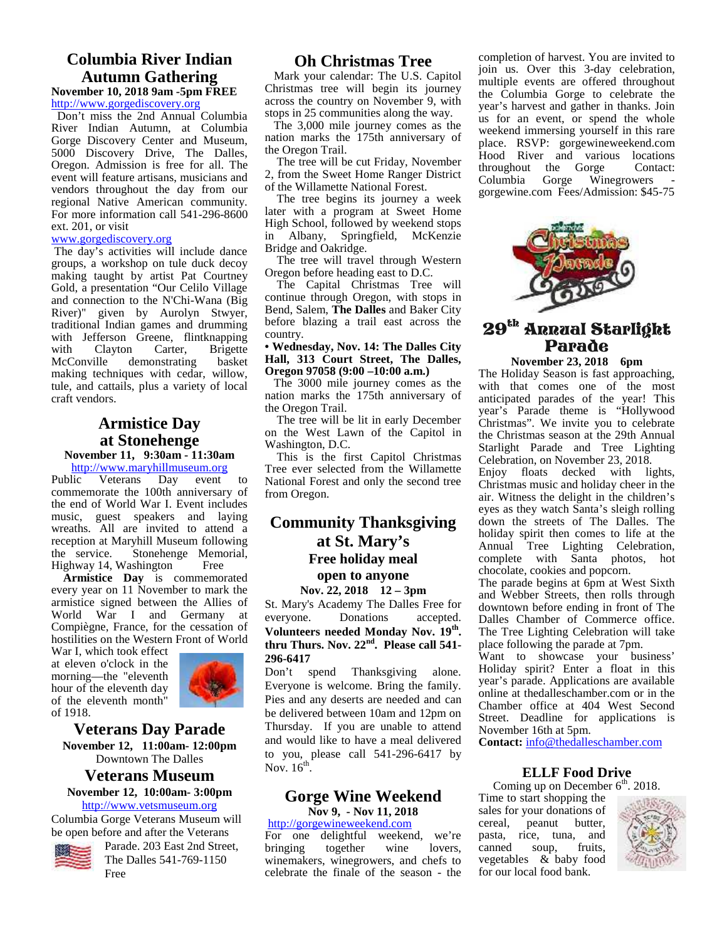#### **Columbia River Indian Autumn Gathering November 10, 2018 9am -5pm FREE**

http://www.gorgediscovery.org

Don't miss the 2nd Annual Columbia River Indian Autumn, at Columbia Gorge Discovery Center and Museum, 5000 Discovery Drive, The Dalles, Oregon. Admission is free for all. The event will feature artisans, musicians and vendors throughout the day from our regional Native American community. For more information call 541-296-8600 ext. 201, or visit

#### www.gorgediscovery.org

 The day's activities will include dance groups, a workshop on tule duck decoy making taught by artist Pat Courtney Gold, a presentation "Our Celilo Village and connection to the N'Chi-Wana (Big River)" given by Aurolyn Stwyer, traditional Indian games and drumming with Jefferson Greene, flintknapping with Clayton Carter, Brigette McConville demonstrating basket making techniques with cedar, willow, tule, and cattails, plus a variety of local craft vendors.

#### **Armistice Day at Stonehenge**

**November 11, 9:30am - 11:30am**

http://www.maryhillmuseum.org<br>Public Veterans Day event Veterans Day event to commemorate the 100th anniversary of the end of World War I. Event includes music, guest speakers and laying wreaths. All are invited to attend a reception at Maryhill Museum following<br>the service. Stonehenge Memorial, Stonehenge Memorial, Highway 14, Washington Free

**Armistice Day** is commemorated every year on 11 November to mark the armistice signed between the Allies of World War I and Germany at everyone. Compiègne, France, for the cessation of hostilities on the Western Front of World

War I, which took effect at eleven o'clock in the morning—the "eleventh hour of the eleventh day of the eleventh month" of 1918.



#### **Veterans Day Parade November 12, 11:00am- 12:00pm** Downtown The Dalles

#### **Veterans Museum November 12, 10:00am- 3:00pm**

http://www.vetsmuseum.org

Columbia Gorge Veterans Museum will be open before and after the Veterans



Parade. 203 East 2nd Street, The Dalles 541-769-1150 Free

#### **Oh Christmas Tree**

Mark your calendar: The U.S. Capitol Christmas tree will begin its journey across the country on November 9, with stops in 25 communities along the way.

 The 3,000 mile journey comes as the nation marks the 175th anniversary of the Oregon Trail.

 The tree will be cut Friday, November 2, from the Sweet Home Ranger District Columbia of the Willamette National Forest.

 The tree begins its journey a week later with a program at Sweet Home High School, followed by weekend stops in Albany, Springfield, McKenzie Bridge and Oakridge.

 The tree will travel through Western Oregon before heading east to D.C.

 The Capital Christmas Tree will continue through Oregon, with stops in Bend, Salem, **The Dalles** and Baker City before blazing a trail east across the country.

#### **• Wednesday, Nov. 14: The Dalles City Hall, 313 Court Street, The Dalles, Oregon 97058 (9:00 –10:00 a.m.)**

 The 3000 mile journey comes as the nation marks the 175th anniversary of the Oregon Trail.

 The tree will be lit in early December on the West Lawn of the Capitol in Washington, D.C.

 This is the first Capitol Christmas Tree ever selected from the Willamette National Forest and only the second tree from Oregon.

### **Community Thanksgiving at St. Mary's Free holiday meal**

#### **open to anyone Nov. 22, 2018 12 – 3pm**

St. Mary's Academy The Dalles Free for Donations accepted. **Volunteers needed Monday Nov. 19th thru Thurs. Nov. 22nd. Please call 541- 296-6417**

Don't spend Thanksgiving alone. Everyone is welcome. Bring the family. Pies and any deserts are needed and can be delivered between 10am and 12pm on Thursday. If you are unable to attend and would like to have a meal delivered to you, please call 541-296-6417 by Nov.  $16^{th}$ .

#### **Gorge Wine Weekend Nov 9, - Nov 11, 2018**

#### http://gorgewineweekend.com

For one delightful weekend, we're pasta,<br>bringing together wine lovers, canned together winemakers, winegrowers, and chefs to celebrate the finale of the season - the

completion of harvest. You are invited to join us. Over this 3-day celebration, multiple events are offered throughout the Columbia Gorge to celebrate the year's harvest and gather in thanks. Join us for an event, or spend the whole weekend immersing yourself in this rare place. RSVP: gorgewineweekend.com Hood River and various locations throughout the Gorge Contact: Gorge Winegrowers gorgewine.com Fees/Admission: \$45-75



## ${\bf 29}^{\rm th}$  Annual Starlight Parade

**November 23, 2018 6pm**

The Holiday Season is fast approaching, with that comes one of the most anticipated parades of the year! This year's Parade theme is "Hollywood Christmas". We invite you to celebrate the Christmas season at the 29th Annual Starlight Parade and Tree Lighting Celebration, on November 23, 2018.

Enjoy floats decked with lights, Christmas music and holiday cheer in the air. Witness the delight in the children's eyes as they watch Santa's sleigh rolling down the streets of The Dalles. The holiday spirit then comes to life at the Annual Tree Lighting Celebration, complete with Santa photos, hot chocolate, cookies and popcorn.

**.** The Tree Lighting Celebration will take The parade begins at 6pm at West Sixth and Webber Streets, then rolls through downtown before ending in front of The Dalles Chamber of Commerce office. place following the parade at 7pm.

Want to showcase your business' Holiday spirit? Enter a float in this year's parade. Applications are available online at thedalleschamber.com or in the Chamber office at 404 West Second Street. Deadline for applications is November 16th at 5pm.

**Contact:** info@thedalleschamber.com

#### **ELLF Food Drive**

Coming up on December  $6<sup>th</sup>$ . 2018.

Time to start shopping the sales for your donations of peanut butter, pasta, rice, tuna, and<br>canned soup, fruits. soup, vegetables & baby food for our local food bank.

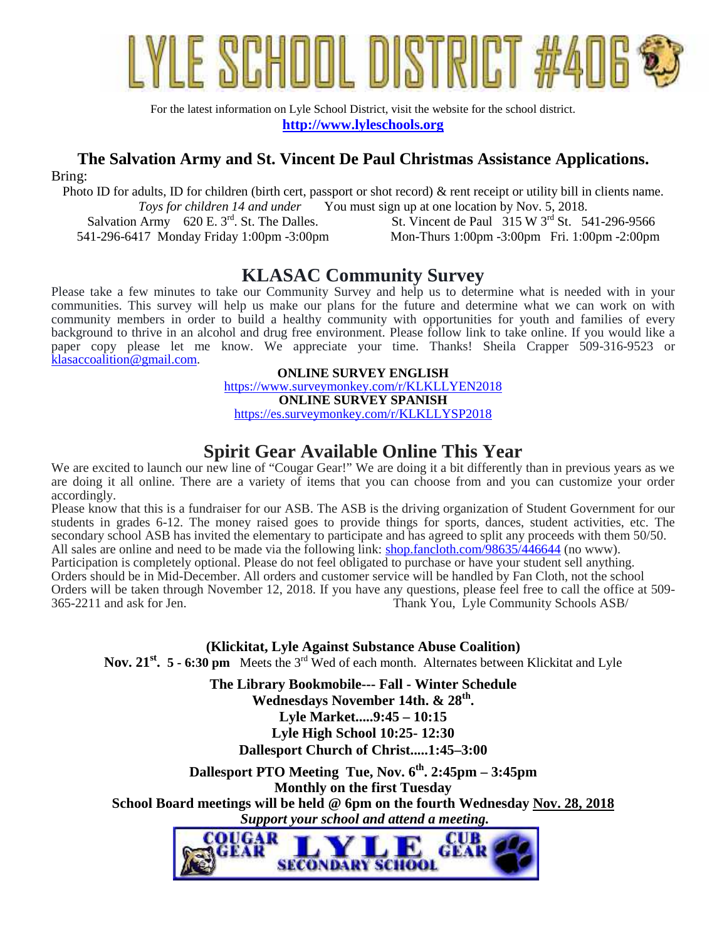

For the latest information on Lyle School District, visit the website for the school district. **http://www.lyleschools.org**

### **The Salvation Army and St. Vincent De Paul Christmas Assistance Applications.**

Bring:

Photo ID for adults, ID for children (birth cert, passport or shot record) & rent receipt or utility bill in clients name.<br>To *Tovs for children 14 and under* You must sign up at one location by Nov. 5, 2018. *Toward For children 14 and 14 and 14 and 14 and 14 and 14 and 14 and 14 and 14 and 14 and 14 and 14 and 14 and 14 and 14 and 14 and 14 and 14 and 14 and 14 and 14 and 14 and 14 and 14 and 14 and 14 and 14 and 14 and 14 an* 

Salvation Army 620 E.  $3<sup>rd</sup>$ . St. The Dalles. 541-296-6417 Monday Friday 1:00pm -3:00pm St. Vincent de Paul 315 W 3<sup>rd</sup> St. 541-296-9566 Mon-Thurs 1:00pm -3:00pm Fri. 1:00pm -2:00pm

## **KLASAC Community Survey**

Please take a few minutes to take our Community Survey and help us to determine what is needed with in your communities. This survey will help us make our plans for the future and determine what we can work on with community members in order to build a healthy community with opportunities for youth and families of every background to thrive in an alcohol and drug free environment. Please follow link to take online. If you would like a paper copy please let me know. We appreciate your time. Thanks! Sheila Crapper 509-316-9523 or klasaccoalition@gmail.com.

> **ONLINE SURVEY ENGLISH** https://www.surveymonkey.com/r/KLKLLYEN2018 **ONLINE SURVEY SPANISH** https://es.surveymonkey.com/r/KLKLLYSP2018

## **Spirit Gear Available Online This Year**

We are excited to launch our new line of "Cougar Gear!" We are doing it a bit differently than in previous years as we are doing it all online. There are a variety of items that you can choose from and you can customize your order accordingly.

Please know that this is a fundraiser for our ASB. The ASB is the driving organization of Student Government for our students in grades 6-12. The money raised goes to provide things for sports, dances, student activities, etc. The secondary school ASB has invited the elementary to participate and has agreed to split any proceeds with them 50/50. All sales are online and need to be made via the following link: shop.fancloth.com/98635/446644 (no www). Participation is completely optional. Please do not feel obligated to purchase or have your student sell anything. Orders should be in Mid-December. All orders and customer service will be handled by Fan Cloth, not the school Orders will be taken through November 12, 2018. If you have any questions, please feel free to call the office at 509- 365-2211 and ask for Jen. Thank You, Lyle Community Schools ASB/

**(Klickitat, Lyle Against Substance Abuse Coalition)**

**Nov. 21st. 5 - 6:30 pm** Meets the 3rd Wed of each month. Alternates between Klickitat and Lyle

**The Library Bookmobile--- Fall - Winter Schedule Wednesdays November 14th. & 28th . Lyle Market.....9:45 – 10:15 Lyle High School 10:25- 12:30 Dallesport Church of Christ.....1:45–3:00**

**Dallesport PTO Meeting Tue, Nov. 6th . 2:45pm – 3:45pm Monthly on the first Tuesday School Board meetings will be held @ 6pm on the fourth Wednesday Nov. 28, 2018**  *Support your school and attend a meeting.*

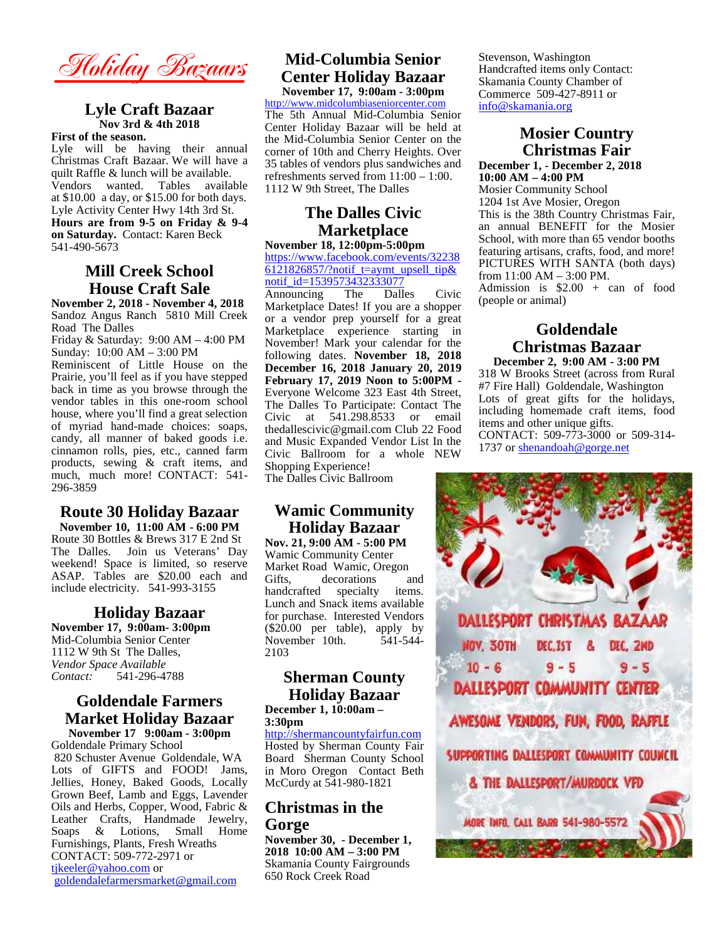**Holiday Bazaars**

#### **Lyle Craft Bazaar Nov 3rd & 4th 2018**

#### **First of the season.**

Lyle will be having their annual Christmas Craft Bazaar. We will have a quilt Raffle & lunch will be available. Vendors wanted. Tables available at \$10.00 a day, or \$15.00 for both days. Lyle Activity Center Hwy 14th 3rd St. **Hours are from 9-5 on Friday & 9-4 on Saturday.** Contact: Karen Beck 541-490-5673

#### **Mill Creek School House Craft Sale**

**November 2, 2018 - November 4, 2018** Sandoz Angus Ranch 5810 Mill Creek Road The Dalles

Friday & Saturday: 9:00 AM – 4:00 PM Sunday: 10:00 AM – 3:00 PM

Reminiscent of Little House on the Prairie, you'll feel as if you have stepped back in time as you browse through the vendor tables in this one-room school house, where you'll find a great selection of myriad hand-made choices: soaps, candy, all manner of baked goods i.e. cinnamon rolls, pies, etc., canned farm products, sewing & craft items, and much, much more! CONTACT: 541- 296-3859

#### **Route 30 Holiday Bazaar**

**November 10, 11:00 AM - 6:00 PM** Route 30 Bottles & Brews 317 E 2nd St The Dalles. Join us Veterans' Day weekend! Space is limited, so reserve ASAP. Tables are \$20.00 each and Gifts. include electricity. 541-993-3155

#### **Holiday Bazaar**

**November 17, 9:00am- 3:00pm** Mid-Columbia Senior Center 1112 W 9th St The Dalles, *Vendor Space Available Contact:* 541-296-4788

#### **Goldendale Farmers Market Holiday Bazaar November 17 9:00am - 3:00pm**

Goldendale Primary School 820 Schuster Avenue Goldendale, WA Lots of GIFTS and FOOD! Jams, Jellies, Honey, Baked Goods, Locally Grown Beef, Lamb and Eggs, Lavender Oils and Herbs, Copper, Wood, Fabric & Leather Crafts, Handmade Jewelry, Soaps & Lotions, Small Home Furnishings, Plants, Fresh Wreaths CONTACT: 509-772-2971 or tikeeler@yahoo.com or goldendalefarmersmarket@gmail.com

#### **Mid-Columbia Senior Center Holiday Bazaar November 17, 9:00am - 3:00pm**

http://www.midcolumbiaseniorcenter.com The 5th Annual Mid-Columbia Senior Center Holiday Bazaar will be held at the Mid-Columbia Senior Center on the corner of 10th and Cherry Heights. Over 35 tables of vendors plus sandwiches and

## refreshments served from 11:00 – 1:00. 1112 W 9th Street, The Dalles **The Dalles Civic**

#### **Marketplace November 18, 12:00pm-5:00pm**

https://www.facebook.com/events/32238 6121826857/?notif t=aymt\_upsell\_tip& notif\_id=1539573432333077<br>Announcing The Dalle

Announcing The Dalles Civic Marketplace Dates! If you are a shopper or a vendor prep yourself for a great Marketplace experience starting in November! Mark your calendar for the following dates. **November 18, 2018 December 16, 2018 January 20, 2019 February 17, 2019 Noon to 5:00PM -** Everyone Welcome 323 East 4th Street, The Dalles To Participate: Contact The Civic at 541.298.8533 or email thedallescivic@gmail.com Club 22 Food and Music Expanded Vendor List In the Civic Ballroom for a whole NEW Shopping Experience!

The Dalles Civic Ballroom

#### **Wamic Community Holiday Bazaar**

**Nov. 21, 9:00 AM - 5:00 PM** Wamic Community Center Market Road Wamic, Oregon<br>Gifts. decorations and decorations handcrafted specialty items. Lunch and Snack items available  $(\$20.00$  per table), apply by<br>November 10th.  $541-544-$ November 10th. 2103

# **Holiday Bazaar**

**3:30pm**

http://shermancountyfairfun.com Board Sherman County School in Moro Oregon Contact Beth McCurdy at 541-980-1821

#### **Christmas in the Gorge**

**November 30, - December 1, 2018 10:00 AM – 3:00 PM** Skamania County Fairgrounds 650 Rock Creek Road

Stevenson, Washington Handcrafted items only Contact: Skamania County Chamber of Commerce 509-427-8911 or info@skamania.org

#### **Mosier Country Christmas Fair December 1, - December 2, 2018**

**10:00 AM – 4:00 PM** Mosier Community School 1204 1st Ave Mosier, Oregon This is the 38th Country Christmas Fair, an annual BENEFIT for the Mosier School, with more than 65 vendor booths featuring artisans, crafts, food, and more! PICTURES WITH SANTA (both days) from 11:00 AM – 3:00 PM. Admission is  $$2.00 + can of food$ (people or animal)

#### **Goldendale Christmas Bazaar December 2, 9:00 AM - 3:00 PM**

318 W Brooks Street (across from Rural #7 Fire Hall) Goldendale, Washington Lots of great gifts for the holidays, including homemade craft items, food items and other unique gifts. CONTACT: 509-773-3000 or 509-314- 1737 or shenandoah@gorge.net

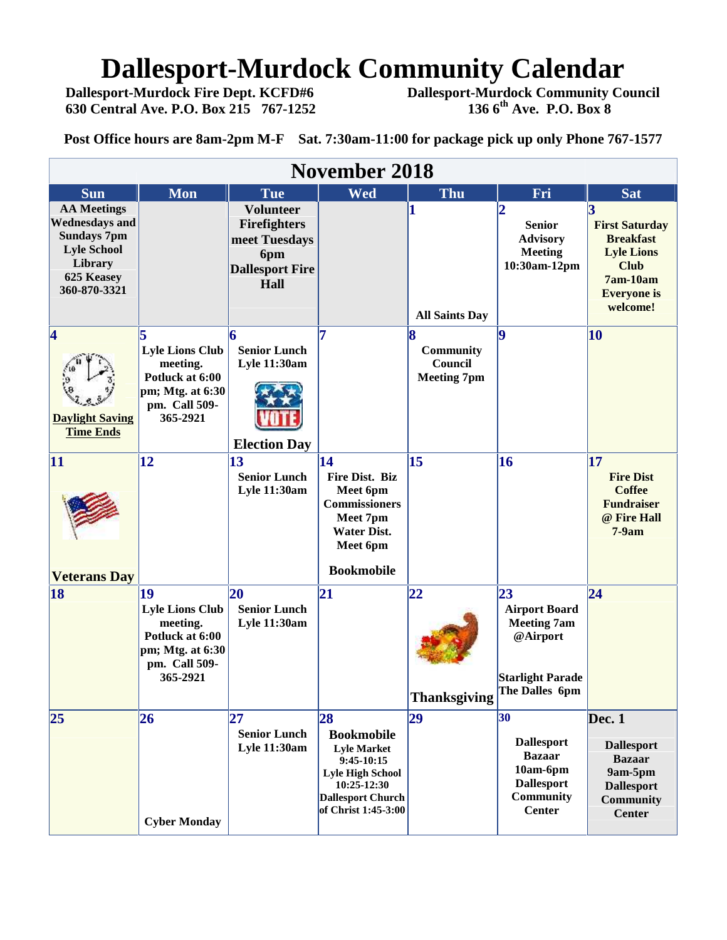# **Dallesport-Murdock Community Calendar**<br>Dallesport-Murdock Fire Dept. KCFD#6 Dallesport-Murdock Community Co

 **Dallesport-Murdock Fire Dept. KCFD#6 Dallesport-Murdock Community Council 630 Central Ave. P.O. Box 215 767-1252 136 6th Ave. P.O. Box 8**

**Post Office hours are 8am-2pm M-F Sat. 7:30am-11:00 for package pick up only Phone 767-1577**

| <b>November 2018</b>                                                                                                             |                                                                                                              |                                                                                                   |                                                                                                                                                            |                                                 |                                                                                                                        |                                                                                                                               |  |  |  |  |
|----------------------------------------------------------------------------------------------------------------------------------|--------------------------------------------------------------------------------------------------------------|---------------------------------------------------------------------------------------------------|------------------------------------------------------------------------------------------------------------------------------------------------------------|-------------------------------------------------|------------------------------------------------------------------------------------------------------------------------|-------------------------------------------------------------------------------------------------------------------------------|--|--|--|--|
| <b>Sun</b>                                                                                                                       | <b>Mon</b>                                                                                                   | Tue                                                                                               | Wed                                                                                                                                                        | Thu                                             | Fri                                                                                                                    | <b>Sat</b>                                                                                                                    |  |  |  |  |
| <b>AA Meetings</b><br><b>Wednesdays and</b><br><b>Sundays 7pm</b><br><b>Lyle School</b><br>Library<br>625 Keasey<br>360-870-3321 |                                                                                                              | <b>Volunteer</b><br><b>Firefighters</b><br>meet Tuesdays<br>6pm<br><b>Dallesport Fire</b><br>Hall |                                                                                                                                                            | <b>All Saints Day</b>                           | <b>Senior</b><br><b>Advisory</b><br><b>Meeting</b><br>10:30am-12pm                                                     | <b>First Saturday</b><br><b>Breakfast</b><br><b>Lyle Lions</b><br><b>Club</b><br>$7am-10am$<br><b>Everyone</b> is<br>welcome! |  |  |  |  |
| $\overline{\mathbf{4}}$<br><b>Daylight Saving</b><br><b>Time Ends</b>                                                            | <b>Lyle Lions Club</b><br>meeting.<br>Potluck at 6:00<br>pm; Mtg. at 6:30<br>pm. Call 509-<br>365-2921       | <b>Senior Lunch</b><br><b>Lyle 11:30am</b><br><b>Election Day</b>                                 |                                                                                                                                                            | 8<br>Community<br>Council<br><b>Meeting 7pm</b> | 19                                                                                                                     | 10                                                                                                                            |  |  |  |  |
| 11<br><b>Veterans Day</b>                                                                                                        | 12                                                                                                           | 13<br><b>Senior Lunch</b><br>Lyle 11:30am                                                         | 14<br><b>Fire Dist. Biz</b><br>Meet 6pm<br><b>Commissioners</b><br>Meet 7pm<br><b>Water Dist.</b><br>Meet 6pm<br><b>Bookmobile</b>                         | 15                                              | 16                                                                                                                     | 17<br><b>Fire Dist</b><br><b>Coffee</b><br><b>Fundraiser</b><br>@ Fire Hall<br>$7-9am$                                        |  |  |  |  |
| 18                                                                                                                               | 19<br><b>Lyle Lions Club</b><br>meeting.<br>Potluck at 6:00<br>pm; Mtg. at 6:30<br>pm. Call 509-<br>365-2921 | <b>20</b><br><b>Senior Lunch</b><br><b>Lyle 11:30am</b>                                           | 21                                                                                                                                                         | 22<br><b>Thanksgiving</b>                       | $\overline{23}$<br><b>Airport Board</b><br><b>Meeting 7am</b><br>@Airport<br><b>Starlight Parade</b><br>The Dalles 6pm | $\overline{24}$                                                                                                               |  |  |  |  |
| 25                                                                                                                               | 26<br><b>Cyber Monday</b>                                                                                    | 27<br><b>Senior Lunch</b><br><b>Lyle 11:30am</b>                                                  | 28<br><b>Bookmobile</b><br><b>Lyle Market</b><br>$9:45-10:15$<br><b>Lyle High School</b><br>10:25-12:30<br><b>Dallesport Church</b><br>of Christ 1:45-3:00 | 29                                              | 30<br><b>Dallesport</b><br><b>Bazaar</b><br>10am-6pm<br><b>Dallesport</b><br>Community<br><b>Center</b>                | Dec. 1<br><b>Dallesport</b><br><b>Bazaar</b><br>9am-5pm<br><b>Dallesport</b><br><b>Community</b><br><b>Center</b>             |  |  |  |  |